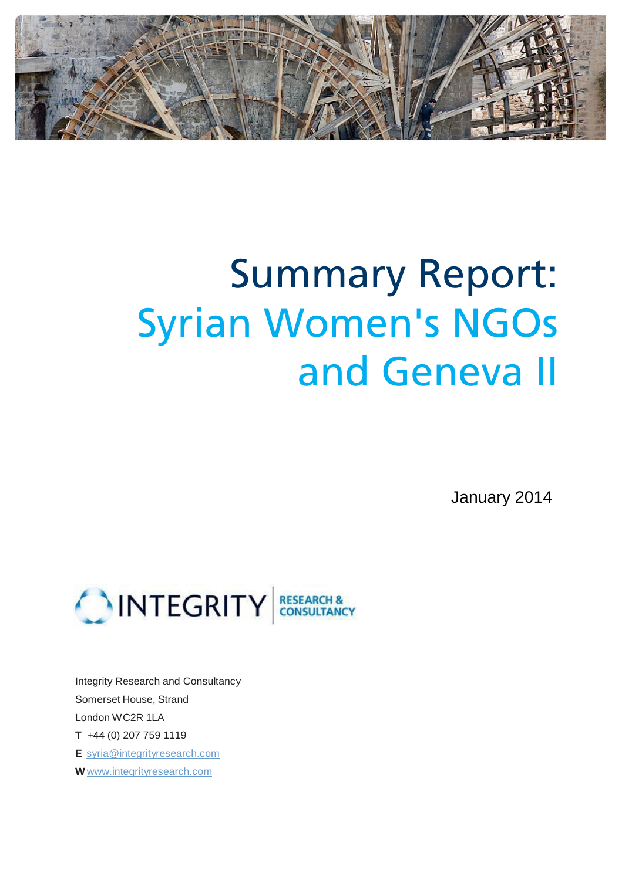

# Summary Report: Syrian Women's NGOs and Geneva II

January 2014



Integrity Research and Consultancy Somerset House, Strand London WC2R 1LA **T** +44 (0) 207 759 1119 **E** syria@integrityresearch.com **W** www.integrityresearch.com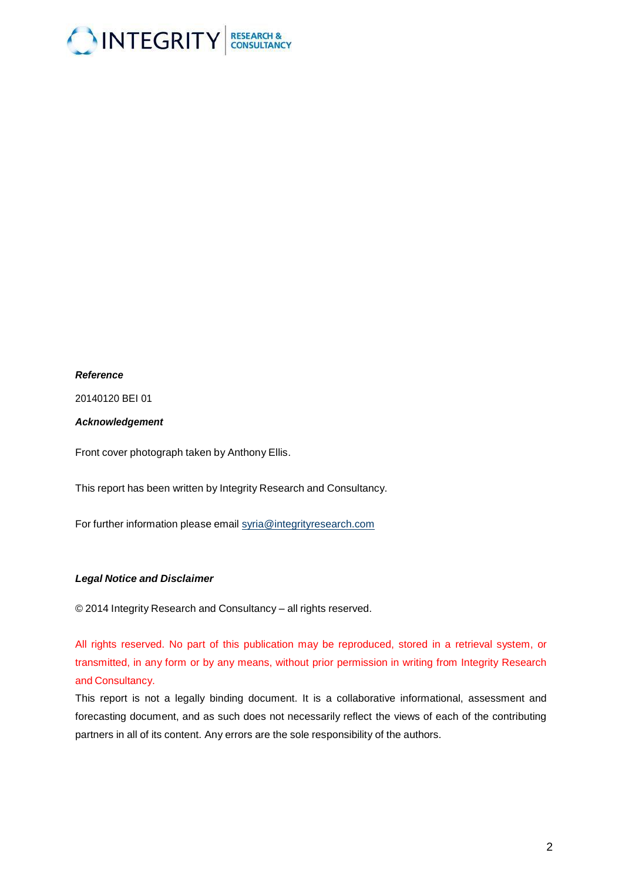

#### *Reference*

20140120 BEI 01

#### *Acknowledgement*

Front cover photograph taken by Anthony Ellis.

This report has been written by Integrity Research and Consultancy.

For further information please email [syria@integrityresearch.com](mailto:syria@integrityresearch.com)

#### *Legal Notice and Disclaimer*

© 2014 Integrity Research and Consultancy – all rights reserved.

All rights reserved. No part of this publication may be reproduced, stored in a retrieval system, or transmitted, in any form or by any means, without prior permission in writing from Integrity Research and Consultancy.

This report is not a legally binding document. It is a collaborative informational, assessment and forecasting document, and as such does not necessarily reflect the views of each of the contributing partners in all of its content. Any errors are the sole responsibility of the authors.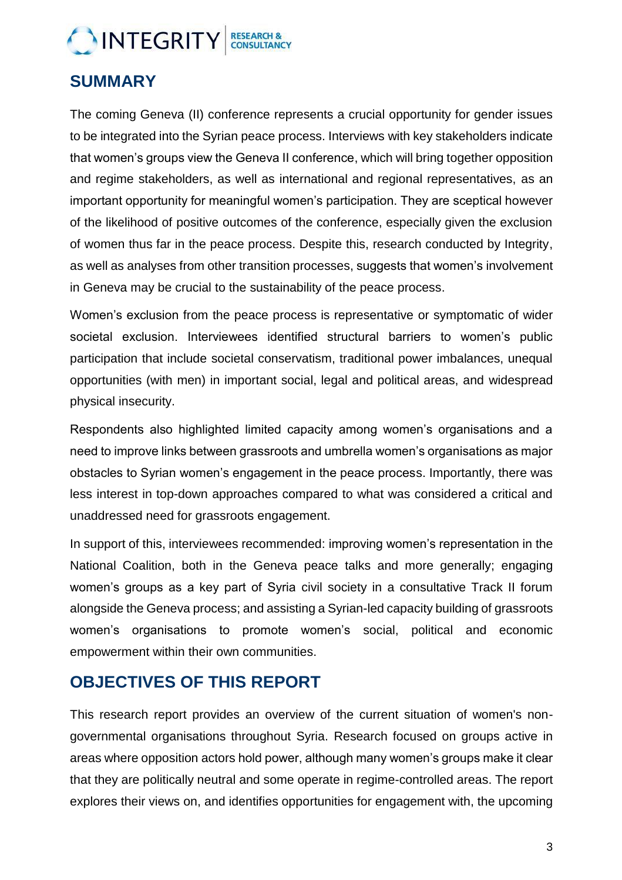## INTEGRITY CONSULTANCY

#### **SUMMARY**

The coming Geneva (II) conference represents a crucial opportunity for gender issues to be integrated into the Syrian peace process. Interviews with key stakeholders indicate that women's groups view the Geneva II conference, which will bring together opposition and regime stakeholders, as well as international and regional representatives, as an important opportunity for meaningful women's participation. They are sceptical however of the likelihood of positive outcomes of the conference, especially given the exclusion of women thus far in the peace process. Despite this, research conducted by Integrity, as well as analyses from other transition processes, suggests that women's involvement in Geneva may be crucial to the sustainability of the peace process.

Women's exclusion from the peace process is representative or symptomatic of wider societal exclusion. Interviewees identified structural barriers to women's public participation that include societal conservatism, traditional power imbalances, unequal opportunities (with men) in important social, legal and political areas, and widespread physical insecurity.

Respondents also highlighted limited capacity among women's organisations and a need to improve links between grassroots and umbrella women's organisations as major obstacles to Syrian women's engagement in the peace process. Importantly, there was less interest in top-down approaches compared to what was considered a critical and unaddressed need for grassroots engagement.

In support of this, interviewees recommended: improving women's representation in the National Coalition, both in the Geneva peace talks and more generally; engaging women's groups as a key part of Syria civil society in a consultative Track II forum alongside the Geneva process; and assisting a Syrian-led capacity building of grassroots women's organisations to promote women's social, political and economic empowerment within their own communities.

#### **OBJECTIVES OF THIS REPORT**

This research report provides an overview of the current situation of women's nongovernmental organisations throughout Syria. Research focused on groups active in areas where opposition actors hold power, although many women's groups make it clear that they are politically neutral and some operate in regime-controlled areas. The report explores their views on, and identifies opportunities for engagement with, the upcoming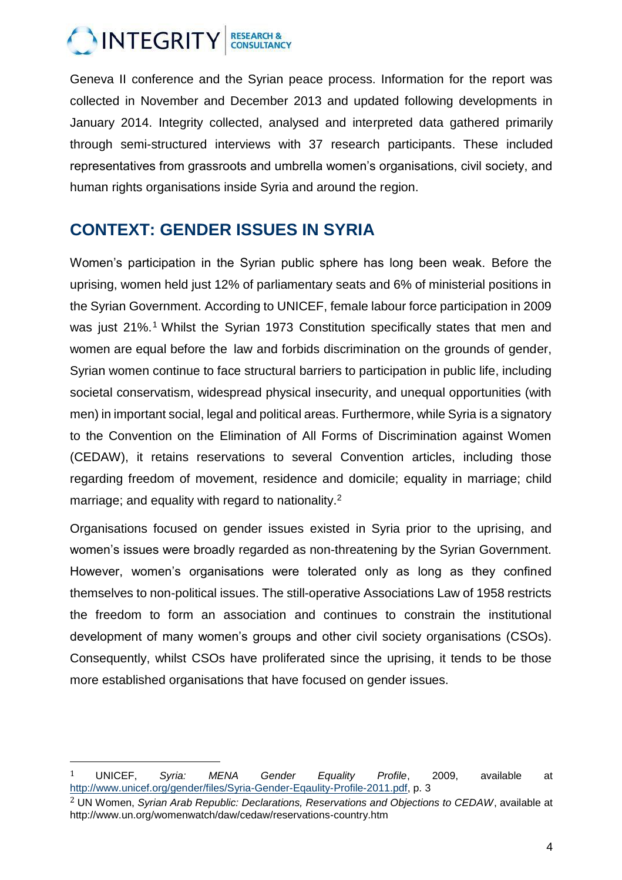

Geneva II conference and the Syrian peace process. Information for the report was collected in November and December 2013 and updated following developments in January 2014. Integrity collected, analysed and interpreted data gathered primarily through semi-structured interviews with 37 research participants. These included representatives from grassroots and umbrella women's organisations, civil society, and human rights organisations inside Syria and around the region.

#### **CONTEXT: GENDER ISSUES IN SYRIA**

Women's participation in the Syrian public sphere has long been weak. Before the uprising, women held just 12% of parliamentary seats and 6% of ministerial positions in the Syrian Government. According to UNICEF, female labour force participation in 2009 was just 21%.<sup>1</sup> Whilst the Syrian 1973 Constitution specifically states that men and women are equal before the law and forbids discrimination on the grounds of gender, Syrian women continue to face structural barriers to participation in public life, including societal conservatism, widespread physical insecurity, and unequal opportunities (with men) in important social, legal and political areas. Furthermore, while Syria is a signatory to the Convention on the Elimination of All Forms of Discrimination against Women (CEDAW), it retains reservations to several Convention articles, including those regarding freedom of movement, residence and domicile; equality in marriage; child marriage; and equality with regard to nationality. $2<sup>2</sup>$ 

Organisations focused on gender issues existed in Syria prior to the uprising, and women's issues were broadly regarded as non-threatening by the Syrian Government. However, women's organisations were tolerated only as long as they confined themselves to non-political issues. The still-operative Associations Law of 1958 restricts the freedom to form an association and continues to constrain the institutional development of many women's groups and other civil society organisations (CSOs). Consequently, whilst CSOs have proliferated since the uprising, it tends to be those more established organisations that have focused on gender issues.

 $\overline{\phantom{a}}$ 

<sup>1</sup> UNICEF, *Syria: MENA Gender Equality Profile*, 2009, available at [http://www.unicef.org/gender/files/Syria-Gender-Eqaulity-Profile-2011.pdf,](http://www.unicef.org/gender/files/Syria-Gender-Eqaulity-Profile-2011.pdf) p. 3

<sup>2</sup> UN Women, *Syrian Arab Republic: Declarations, Reservations and Objections to CEDAW*, available at http://www.un.org/womenwatch/daw/cedaw/reservations-country.htm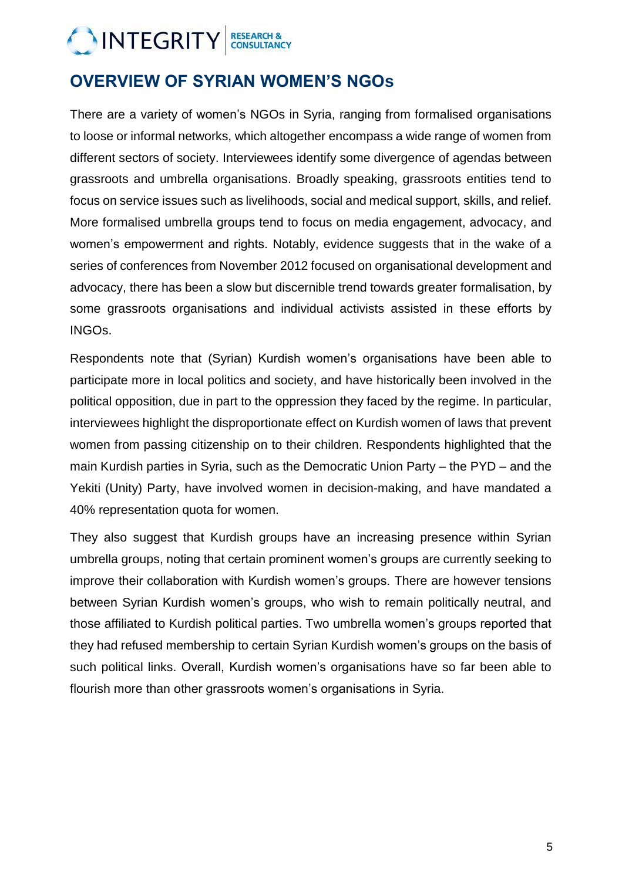## INTEGRITY CONSULTANCY

### **OVERVIEW OF SYRIAN WOMEN'S NGOs**

There are a variety of women's NGOs in Syria, ranging from formalised organisations to loose or informal networks, which altogether encompass a wide range of women from different sectors of society. Interviewees identify some divergence of agendas between grassroots and umbrella organisations. Broadly speaking, grassroots entities tend to focus on service issues such as livelihoods, social and medical support, skills, and relief. More formalised umbrella groups tend to focus on media engagement, advocacy, and women's empowerment and rights. Notably, evidence suggests that in the wake of a series of conferences from November 2012 focused on organisational development and advocacy, there has been a slow but discernible trend towards greater formalisation, by some grassroots organisations and individual activists assisted in these efforts by INGOs.

Respondents note that (Syrian) Kurdish women's organisations have been able to participate more in local politics and society, and have historically been involved in the political opposition, due in part to the oppression they faced by the regime. In particular, interviewees highlight the disproportionate effect on Kurdish women of laws that prevent women from passing citizenship on to their children. Respondents highlighted that the main Kurdish parties in Syria, such as the Democratic Union Party – the PYD – and the Yekiti (Unity) Party, have involved women in decision-making, and have mandated a 40% representation quota for women.

They also suggest that Kurdish groups have an increasing presence within Syrian umbrella groups, noting that certain prominent women's groups are currently seeking to improve their collaboration with Kurdish women's groups. There are however tensions between Syrian Kurdish women's groups, who wish to remain politically neutral, and those affiliated to Kurdish political parties. Two umbrella women's groups reported that they had refused membership to certain Syrian Kurdish women's groups on the basis of such political links. Overall, Kurdish women's organisations have so far been able to flourish more than other grassroots women's organisations in Syria.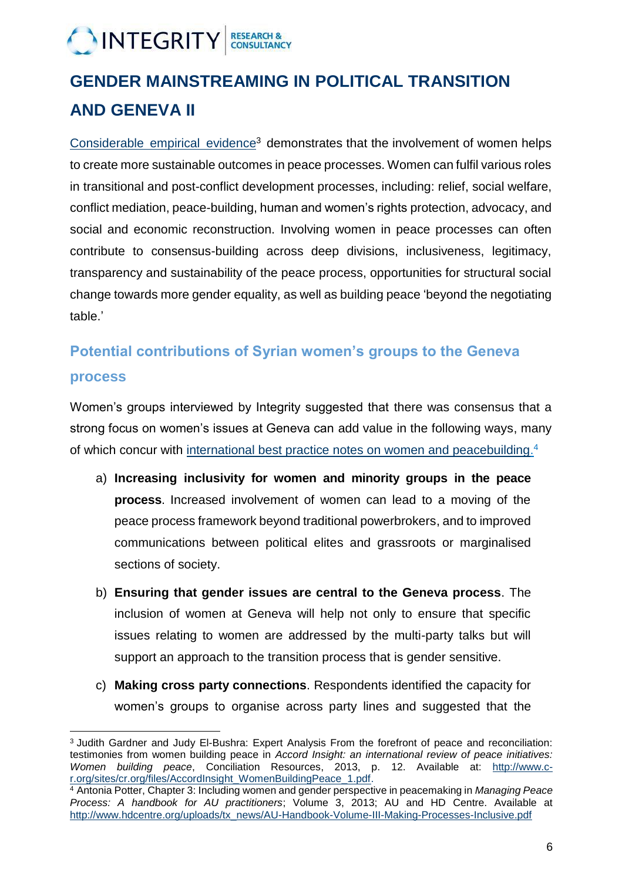## INTEGRITY CONSULTANCY

## **GENDER MAINSTREAMING IN POLITICAL TRANSITION AND GENEVA II**

[Considerable](http://www.c-r.org/sites/c-r.org/files/AccordInsight_WomenBuildingPeace.pdf) empirical evidence<sup>3</sup> demonstrates that the involvement of women helps to create more sustainable outcomes in peace processes. Women can fulfil various roles in transitional and post-conflict development processes, including: relief, social welfare, conflict mediation, peace-building, human and women's rights protection, advocacy, and social and economic reconstruction. Involving women in peace processes can often contribute to consensus-building across deep divisions, inclusiveness, legitimacy, transparency and sustainability of the peace process, opportunities for structural social change towards more gender equality, as well as building peace 'beyond the negotiating table.'

#### **Potential contributions of Syrian women's groups to the Geneva**

#### **process**

 $\overline{\phantom{a}}$ 

Women's groups interviewed by Integrity suggested that there was consensus that a strong focus on women's issues at Geneva can add value in the following ways, many of which concur with [international best practice notes on women and peacebuilding.](mailto:http://www.hdcentre.org/uploads/tx_news/AU-Handbook-Volume-III-Making-Processes-Inclusive.pdf)<sup>4</sup>

- a) **Increasing inclusivity for women and minority groups in the peace process**. Increased involvement of women can lead to a moving of the peace process framework beyond traditional powerbrokers, and to improved communications between political elites and grassroots or marginalised sections of society.
- b) **Ensuring that gender issues are central to the Geneva process**. The inclusion of women at Geneva will help not only to ensure that specific issues relating to women are addressed by the multi-party talks but will support an approach to the transition process that is gender sensitive.
- c) **Making cross party connections**. Respondents identified the capacity for women's groups to organise across party lines and suggested that the

<sup>3</sup> Judith Gardner and Judy El-Bushra: Expert Analysis From the forefront of peace and reconciliation: testimonies from women building peace in *Accord Insight: an international review of peace initiatives: Women building peace*, Conciliation Resources, 2013, p. 12. Available at: [http://www.c](http://www.c-r.org/sites/cr.org/files/AccordInsight_WomenBuildingPeace_1.pdf)[r.org/sites/cr.org/files/AccordInsight\\_WomenBuildingPeace\\_1.pdf.](http://www.c-r.org/sites/cr.org/files/AccordInsight_WomenBuildingPeace_1.pdf)

<sup>4</sup> Antonia Potter, Chapter 3: Including women and gender perspective in peacemaking in *Managing Peace Process: A handbook for AU practitioners*; Volume 3, 2013; AU and HD Centre. Available at [http://www.hdcentre.org/uploads/tx\\_news/AU-Handbook-Volume-III-Making-Processes-Inclusive.pdf](http://www.hdcentre.org/uploads/tx_news/AU-Handbook-Volume-III-Making-Processes-Inclusive.pdf)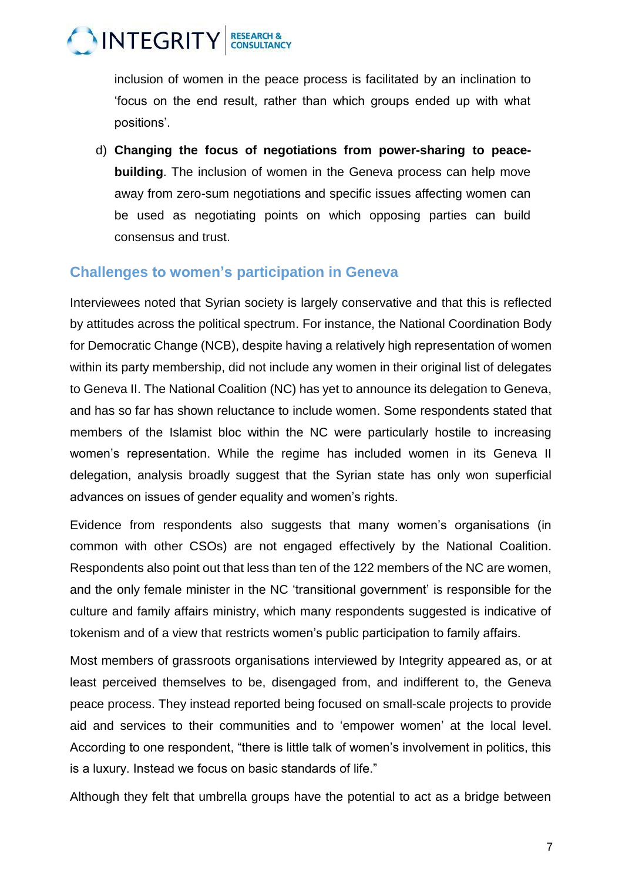

inclusion of women in the peace process is facilitated by an inclination to 'focus on the end result, rather than which groups ended up with what positions'.

d) **Changing the focus of negotiations from power-sharing to peacebuilding**. The inclusion of women in the Geneva process can help move away from zero-sum negotiations and specific issues affecting women can be used as negotiating points on which opposing parties can build consensus and trust.

#### **Challenges to women's participation in Geneva**

Interviewees noted that Syrian society is largely conservative and that this is reflected by attitudes across the political spectrum. For instance, the National Coordination Body for Democratic Change (NCB), despite having a relatively high representation of women within its party membership, did not include any women in their original list of delegates to Geneva II. The National Coalition (NC) has yet to announce its delegation to Geneva, and has so far has shown reluctance to include women. Some respondents stated that members of the Islamist bloc within the NC were particularly hostile to increasing women's representation. While the regime has included women in its Geneva II delegation, analysis broadly suggest that the Syrian state has only won superficial advances on issues of gender equality and women's rights.

Evidence from respondents also suggests that many women's organisations (in common with other CSOs) are not engaged effectively by the National Coalition. Respondents also point out that less than ten of the 122 members of the NC are women, and the only female minister in the NC 'transitional government' is responsible for the culture and family affairs ministry, which many respondents suggested is indicative of tokenism and of a view that restricts women's public participation to family affairs.

Most members of grassroots organisations interviewed by Integrity appeared as, or at least perceived themselves to be, disengaged from, and indifferent to, the Geneva peace process. They instead reported being focused on small-scale projects to provide aid and services to their communities and to 'empower women' at the local level. According to one respondent, "there is little talk of women's involvement in politics, this is a luxury. Instead we focus on basic standards of life."

Although they felt that umbrella groups have the potential to act as a bridge between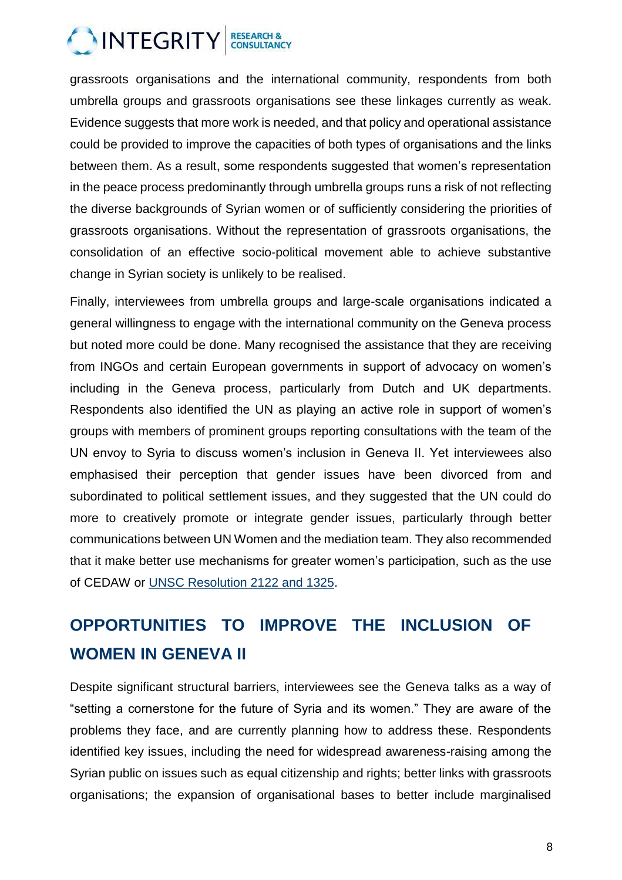

grassroots organisations and the international community, respondents from both umbrella groups and grassroots organisations see these linkages currently as weak. Evidence suggests that more work is needed, and that policy and operational assistance could be provided to improve the capacities of both types of organisations and the links between them. As a result, some respondents suggested that women's representation in the peace process predominantly through umbrella groups runs a risk of not reflecting the diverse backgrounds of Syrian women or of sufficiently considering the priorities of grassroots organisations. Without the representation of grassroots organisations, the consolidation of an effective socio-political movement able to achieve substantive change in Syrian society is unlikely to be realised.

Finally, interviewees from umbrella groups and large-scale organisations indicated a general willingness to engage with the international community on the Geneva process but noted more could be done. Many recognised the assistance that they are receiving from INGOs and certain European governments in support of advocacy on women's including in the Geneva process, particularly from Dutch and UK departments. Respondents also identified the UN as playing an active role in support of women's groups with members of prominent groups reporting consultations with the team of the UN envoy to Syria to discuss women's inclusion in Geneva II. Yet interviewees also emphasised their perception that gender issues have been divorced from and subordinated to political settlement issues, and they suggested that the UN could do more to creatively promote or integrate gender issues, particularly through better communications between UN Women and the mediation team. They also recommended that it make better use mechanisms for greater women's participation, such as the use of CEDAW or UNSC [Resolution 2122](mailto:http://www.securitycouncilreport.org/atf/cf/%257B65BFCF9B-6D27-4E9C-8CD3-CF6E4FF96FF9%257D/s_2012_732.pdf) and 1325.

## **OPPORTUNITIES TO IMPROVE THE INCLUSION OF WOMEN IN GENEVA II**

Despite significant structural barriers, interviewees see the Geneva talks as a way of "setting a cornerstone for the future of Syria and its women." They are aware of the problems they face, and are currently planning how to address these. Respondents identified key issues, including the need for widespread awareness-raising among the Syrian public on issues such as equal citizenship and rights; better links with grassroots organisations; the expansion of organisational bases to better include marginalised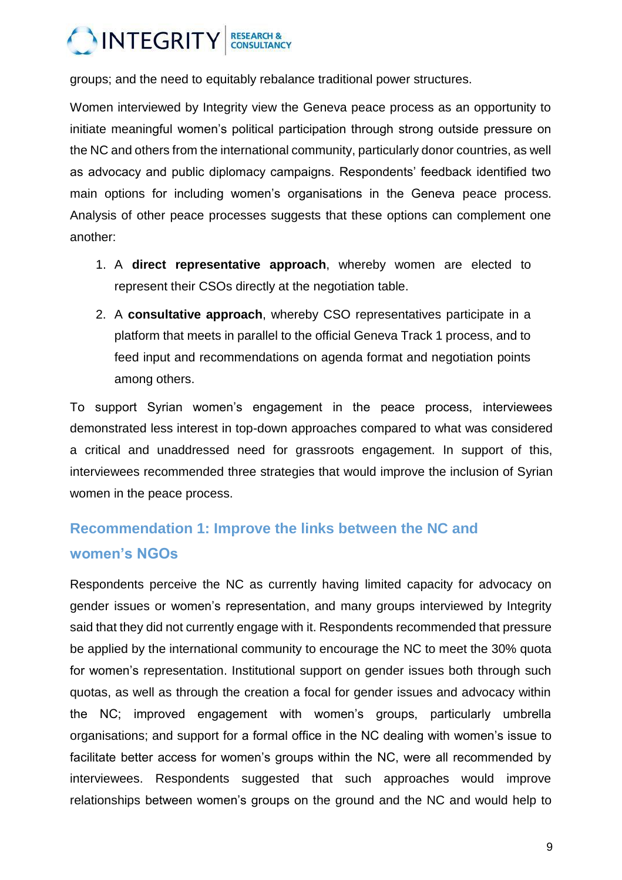

groups; and the need to equitably rebalance traditional power structures.

Women interviewed by Integrity view the Geneva peace process as an opportunity to initiate meaningful women's political participation through strong outside pressure on the NC and others from the international community, particularly donor countries, as well as advocacy and public diplomacy campaigns. Respondents' feedback identified two main options for including women's organisations in the Geneva peace process. Analysis of other peace processes suggests that these options can complement one another:

- 1. A **direct representative approach**, whereby women are elected to represent their CSOs directly at the negotiation table.
- 2. A **consultative approach**, whereby CSO representatives participate in a platform that meets in parallel to the official Geneva Track 1 process, and to feed input and recommendations on agenda format and negotiation points among others.

To support Syrian women's engagement in the peace process, interviewees demonstrated less interest in top-down approaches compared to what was considered a critical and unaddressed need for grassroots engagement. In support of this, interviewees recommended three strategies that would improve the inclusion of Syrian women in the peace process.

### **Recommendation 1: Improve the links between the NC and women's NGOs**

Respondents perceive the NC as currently having limited capacity for advocacy on gender issues or women's representation, and many groups interviewed by Integrity said that they did not currently engage with it. Respondents recommended that pressure be applied by the international community to encourage the NC to meet the 30% quota for women's representation. Institutional support on gender issues both through such quotas, as well as through the creation a focal for gender issues and advocacy within the NC; improved engagement with women's groups, particularly umbrella organisations; and support for a formal office in the NC dealing with women's issue to facilitate better access for women's groups within the NC, were all recommended by interviewees. Respondents suggested that such approaches would improve relationships between women's groups on the ground and the NC and would help to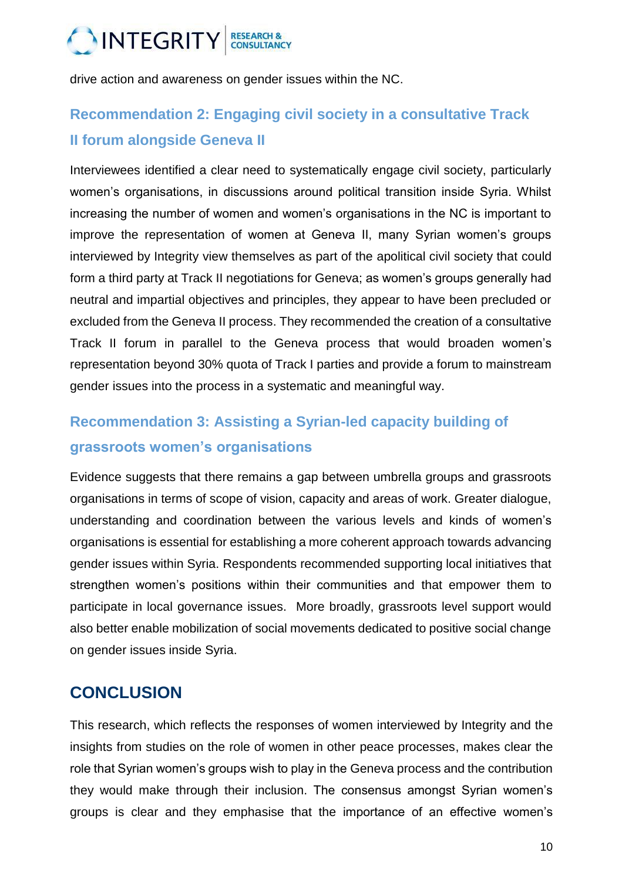

drive action and awareness on gender issues within the NC.

### **Recommendation 2: Engaging civil society in a consultative Track II forum alongside Geneva II**

Interviewees identified a clear need to systematically engage civil society, particularly women's organisations, in discussions around political transition inside Syria. Whilst increasing the number of women and women's organisations in the NC is important to improve the representation of women at Geneva II, many Syrian women's groups interviewed by Integrity view themselves as part of the apolitical civil society that could form a third party at Track II negotiations for Geneva; as women's groups generally had neutral and impartial objectives and principles, they appear to have been precluded or excluded from the Geneva II process. They recommended the creation of a consultative Track II forum in parallel to the Geneva process that would broaden women's representation beyond 30% quota of Track I parties and provide a forum to mainstream gender issues into the process in a systematic and meaningful way.

#### **Recommendation 3: Assisting a Syrian-led capacity building of grassroots women's organisations**

Evidence suggests that there remains a gap between umbrella groups and grassroots organisations in terms of scope of vision, capacity and areas of work. Greater dialogue, understanding and coordination between the various levels and kinds of women's organisations is essential for establishing a more coherent approach towards advancing gender issues within Syria. Respondents recommended supporting local initiatives that strengthen women's positions within their communities and that empower them to participate in local governance issues. More broadly, grassroots level support would also better enable mobilization of social movements dedicated to positive social change on gender issues inside Syria.

#### **CONCLUSION**

This research, which reflects the responses of women interviewed by Integrity and the insights from studies on the role of women in other peace processes, makes clear the role that Syrian women's groups wish to play in the Geneva process and the contribution they would make through their inclusion. The consensus amongst Syrian women's groups is clear and they emphasise that the importance of an effective women's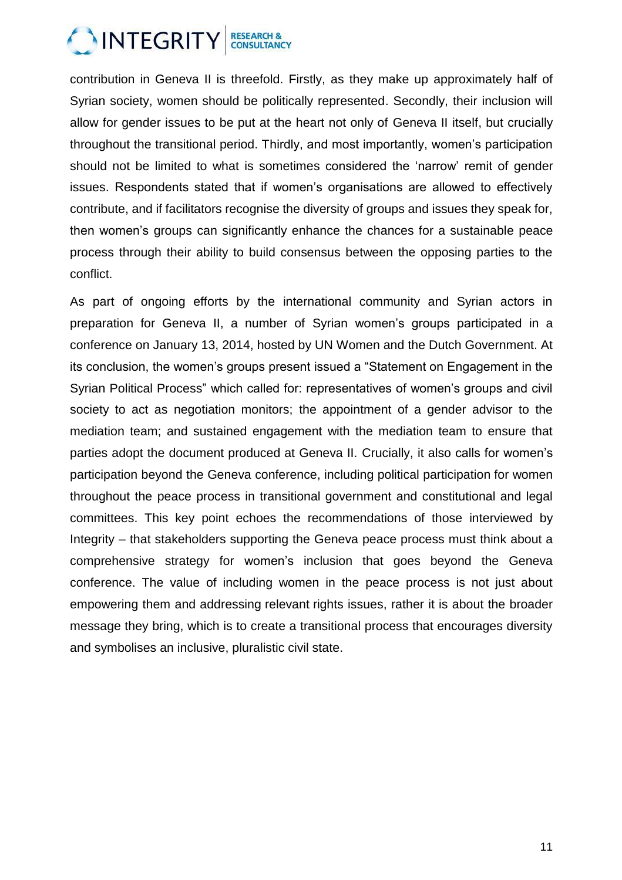

contribution in Geneva II is threefold. Firstly, as they make up approximately half of Syrian society, women should be politically represented. Secondly, their inclusion will allow for gender issues to be put at the heart not only of Geneva II itself, but crucially throughout the transitional period. Thirdly, and most importantly, women's participation should not be limited to what is sometimes considered the 'narrow' remit of gender issues. Respondents stated that if women's organisations are allowed to effectively contribute, and if facilitators recognise the diversity of groups and issues they speak for, then women's groups can significantly enhance the chances for a sustainable peace process through their ability to build consensus between the opposing parties to the conflict.

As part of ongoing efforts by the international community and Syrian actors in preparation for Geneva II, a number of Syrian women's groups participated in a conference on January 13, 2014, hosted by UN Women and the Dutch Government. At its conclusion, the women's groups present issued a "Statement on Engagement in the Syrian Political Process" which called for: representatives of women's groups and civil society to act as negotiation monitors; the appointment of a gender advisor to the mediation team; and sustained engagement with the mediation team to ensure that parties adopt the document produced at Geneva II. Crucially, it also calls for women's participation beyond the Geneva conference, including political participation for women throughout the peace process in transitional government and constitutional and legal committees. This key point echoes the recommendations of those interviewed by Integrity – that stakeholders supporting the Geneva peace process must think about a comprehensive strategy for women's inclusion that goes beyond the Geneva conference. The value of including women in the peace process is not just about empowering them and addressing relevant rights issues, rather it is about the broader message they bring, which is to create a transitional process that encourages diversity and symbolises an inclusive, pluralistic civil state.